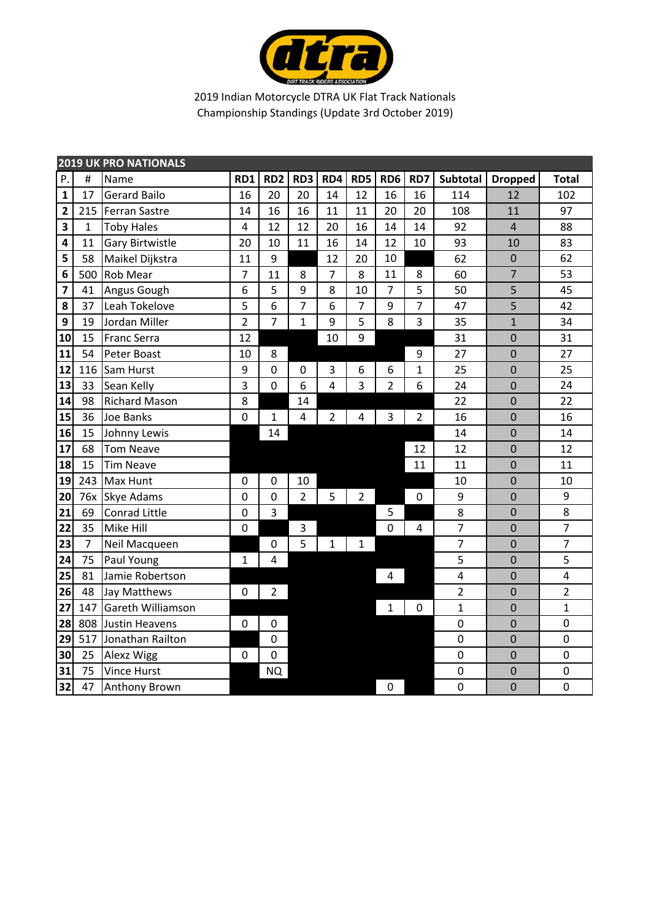

|                         | <b>2019 UK PRO NATIONALS</b> |                        |                |                 |                 |                |                |                  |                |                         |                |                |  |
|-------------------------|------------------------------|------------------------|----------------|-----------------|-----------------|----------------|----------------|------------------|----------------|-------------------------|----------------|----------------|--|
| P.                      | #                            | Name                   | RD1            | RD <sub>2</sub> | RD <sub>3</sub> | RD4            | RD5            | RD <sub>6</sub>  | RD7            | Subtotal                | <b>Dropped</b> | <b>Total</b>   |  |
| $\mathbf{1}$            | 17                           | <b>Gerard Bailo</b>    | 16             | 20              | 20              | 14             | 12             | 16               | 16             | 114                     | 12             | 102            |  |
| $\overline{\mathbf{c}}$ | 215                          | <b>Ferran Sastre</b>   | 14             | 16              | 16              | 11             | 11             | 20               | 20             | 108                     | 11             | 97             |  |
| 3                       | $\mathbf{1}$                 | <b>Toby Hales</b>      | $\overline{4}$ | 12              | 12              | 20             | 16             | 14               | 14             | 92                      | $\overline{4}$ | 88             |  |
| 4                       | 11                           | <b>Gary Birtwistle</b> | 20             | 10              | 11              | 16             | 14             | 12               | 10             | 93                      | 10             | 83             |  |
| 5                       | 58                           | Maikel Dijkstra        | 11             | 9               |                 | 12             | 20             | 10               |                | 62                      | $\mathbf 0$    | 62             |  |
| 6                       | 500                          | <b>Rob Mear</b>        | $\overline{7}$ | 11              | 8               | 7              | 8              | 11               | 8              | 60                      | $\overline{7}$ | 53             |  |
| $\overline{\mathbf{z}}$ | 41                           | Angus Gough            | 6              | 5               | 9               | 8              | 10             | $\overline{7}$   | 5              | 50                      | 5              | 45             |  |
| 8                       | 37                           | Leah Tokelove          | 5              | 6               | 7               | 6              | $\overline{7}$ | 9                | $\overline{7}$ | 47                      | 5              | 42             |  |
| 9                       | 19                           | Jordan Miller          | $\overline{2}$ | $\overline{7}$  | $\mathbf{1}$    | 9              | 5              | 8                | $\overline{3}$ | 35                      | $\mathbf{1}$   | 34             |  |
| 10                      | 15                           | <b>Franc Serra</b>     | 12             |                 |                 | 10             | 9              |                  |                | 31                      | $\mathbf 0$    | 31             |  |
| 11                      | 54                           | Peter Boast            | 10             | 8               |                 |                |                |                  | 9              | 27                      | $\mathbf 0$    | 27             |  |
| 12                      | 116                          | Sam Hurst              | 9              | $\mathbf 0$     | $\mathbf 0$     | 3              | 6              | 6                | $\mathbf{1}$   | 25                      | $\mathbf 0$    | 25             |  |
| 13                      | 33                           | Sean Kelly             | 3              | $\overline{0}$  | 6               | $\overline{4}$ | 3              | $\overline{2}$   | 6              | 24                      | $\mathbf 0$    | 24             |  |
| 14                      | 98                           | <b>Richard Mason</b>   | 8              |                 | 14              |                |                |                  |                | 22                      | $\mathbf 0$    | 22             |  |
| 15                      | 36                           | Joe Banks              | $\mathbf 0$    | $\mathbf{1}$    | $\overline{4}$  | $\overline{2}$ | 4              | 3                | $\overline{2}$ | 16                      | $\mathbf 0$    | 16             |  |
| 16                      | 15                           | Johnny Lewis           |                | 14              |                 |                |                |                  |                | 14                      | $\mathbf 0$    | 14             |  |
| 17                      | 68                           | <b>Tom Neave</b>       |                |                 |                 |                |                |                  | 12             | 12                      | $\overline{0}$ | 12             |  |
| 18                      | 15                           | <b>Tim Neave</b>       |                |                 |                 |                |                |                  | 11             | 11                      | 0              | 11             |  |
| 19                      | 243                          | Max Hunt               | $\mathbf 0$    | $\mathbf 0$     | 10              |                |                |                  |                | 10                      | $\mathbf 0$    | 10             |  |
| 20                      | 76x                          | <b>Skye Adams</b>      | $\mathbf 0$    | $\mathbf 0$     | $\overline{2}$  | 5              | $\overline{2}$ |                  | $\mathbf 0$    | 9                       | $\overline{0}$ | 9              |  |
| 21                      | 69                           | Conrad Little          | $\mathbf 0$    | 3               |                 |                |                | 5                |                | 8                       | $\mathbf 0$    | 8              |  |
| 22                      | 35                           | Mike Hill              | $\mathbf 0$    |                 | 3               |                |                | $\mathbf 0$      | $\overline{4}$ | 7                       | $\overline{0}$ | $\overline{7}$ |  |
| 23                      | $\overline{7}$               | Neil Macqueen          |                | $\mathbf 0$     | 5               | $\overline{1}$ | 1              |                  |                | $\overline{7}$          | $\overline{0}$ | $\overline{7}$ |  |
| 24                      | 75                           | Paul Young             | $\mathbf{1}$   | 4               |                 |                |                |                  |                | 5                       | $\mathbf 0$    | 5              |  |
| 25                      | 81                           | Jamie Robertson        |                |                 |                 |                |                | 4                |                | $\overline{\mathbf{4}}$ | $\mathbf 0$    | 4              |  |
| 26                      | 48                           | Jay Matthews           | $\mathbf 0$    | $\overline{2}$  |                 |                |                |                  |                | $\overline{2}$          | $\mathbf 0$    | $\overline{2}$ |  |
| 27                      | 147                          | Gareth Williamson      |                |                 |                 |                |                | $\mathbf{1}$     | $\mathbf 0$    | $\mathbf 1$             | $\overline{0}$ | $\mathbf{1}$   |  |
| 28                      | 808                          | Justin Heavens         | $\overline{0}$ | $\mathbf 0$     |                 |                |                |                  |                | $\mathbf 0$             | $\mathbf 0$    | 0              |  |
| 29                      | 517                          | Jonathan Railton       |                | $\mathbf 0$     |                 |                |                |                  |                | $\mathbf 0$             | $\mathbf 0$    | 0              |  |
| 30                      | 25                           | Alexz Wigg             | $\mathbf 0$    | $\mathbf 0$     |                 |                |                |                  |                | $\mathbf 0$             | $\mathbf 0$    | 0              |  |
| 31                      | 75                           | <b>Vince Hurst</b>     |                | <b>NQ</b>       |                 |                |                |                  |                | $\mathbf 0$             | $\pmb{0}$      | 0              |  |
| 32                      | 47                           | <b>Anthony Brown</b>   |                |                 |                 |                |                | $\boldsymbol{0}$ |                | $\mathbf 0$             | $\overline{0}$ | $\mathbf 0$    |  |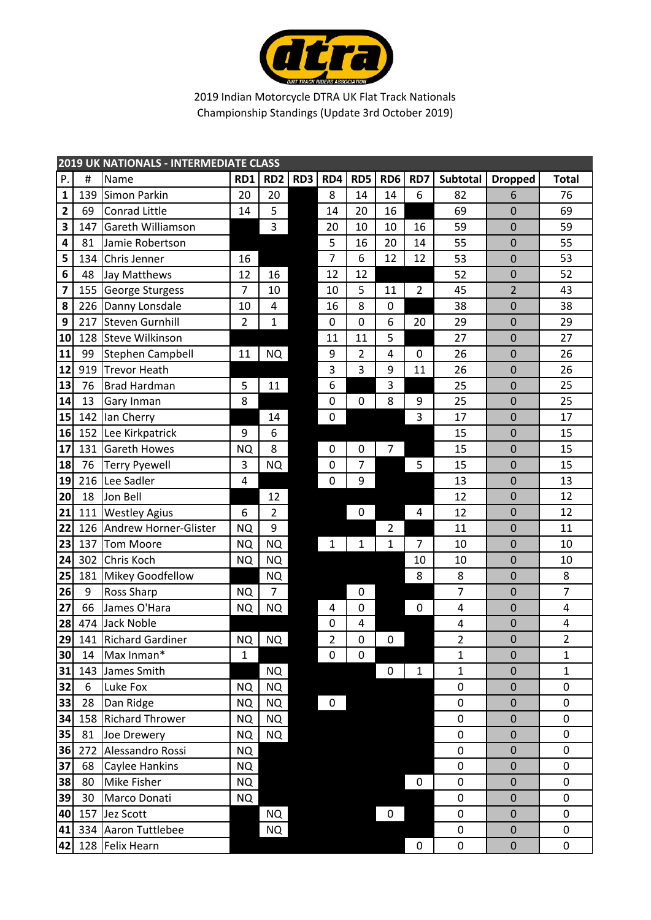

|              | <b>2019 UK NATIONALS - INTERMEDIATE CLASS</b> |                         |                         |                 |     |                  |             |                  |                |                |                  |                |
|--------------|-----------------------------------------------|-------------------------|-------------------------|-----------------|-----|------------------|-------------|------------------|----------------|----------------|------------------|----------------|
| P.           | $\#$                                          | Name                    | RD1                     | RD <sub>2</sub> | RD3 | RD4              | RD5         | RD <sub>6</sub>  | RD7            | Subtotal       | <b>Dropped</b>   | <b>Total</b>   |
| $\mathbf 1$  | 139                                           | Simon Parkin            | 20                      | 20              |     | 8                | 14          | 14               | 6              | 82             | 6                | 76             |
| $\mathbf{2}$ | 69                                            | Conrad Little           | 14                      | 5               |     | 14               | 20          | 16               |                | 69             | $\mathbf 0$      | 69             |
| 3            | 147                                           | Gareth Williamson       |                         | 3               |     | 20               | 10          | 10               | 16             | 59             | $\mathbf 0$      | 59             |
| 4            | 81                                            | Jamie Robertson         |                         |                 |     | 5                | 16          | 20               | 14             | 55             | $\mathbf 0$      | 55             |
| 5            | 134                                           | Chris Jenner            | 16                      |                 |     | 7                | 6           | 12               | 12             | 53             | $\mathbf 0$      | 53             |
| 6            | 48                                            | Jay Matthews            | 12                      | 16              |     | 12               | 12          |                  |                | 52             | $\mathbf 0$      | 52             |
| 7            | 155                                           | George Sturgess         | 7                       | 10              |     | 10               | 5           | 11               | $\overline{2}$ | 45             | $\overline{2}$   | 43             |
| 8            | 226                                           | Danny Lonsdale          | 10                      | 4               |     | 16               | 8           | $\boldsymbol{0}$ |                | 38             | $\mathbf 0$      | 38             |
| 9            | 217                                           | <b>Steven Gurnhill</b>  | $\overline{2}$          | $\mathbf 1$     |     | $\boldsymbol{0}$ | $\pmb{0}$   | 6                | 20             | 29             | $\mathbf 0$      | 29             |
| 10           | 128                                           | <b>Steve Wilkinson</b>  |                         |                 |     | 11               | 11          | 5                |                | 27             | $\mathbf 0$      | 27             |
| 11           | 99                                            | Stephen Campbell        | 11                      | NQ              |     | 9                | 2           | 4                | 0              | 26             | $\mathbf 0$      | 26             |
| 12           | 919                                           | <b>Trevor Heath</b>     |                         |                 |     | 3                | 3           | 9                | 11             | 26             | $\mathbf 0$      | 26             |
| 13           | 76                                            | <b>Brad Hardman</b>     | 5                       | 11              |     | 6                |             | 3                |                | 25             | $\mathbf 0$      | 25             |
| 14           | 13                                            | Gary Inman              | 8                       |                 |     | $\mathbf 0$      | $\pmb{0}$   | 8                | 9              | 25             | $\mathbf 0$      | 25             |
| 15           | 142                                           | lan Cherry              |                         | 14              |     | $\pmb{0}$        |             |                  | 3              | 17             | $\mathbf 0$      | 17             |
| 16           | 152                                           | Lee Kirkpatrick         | 9                       | 6               |     |                  |             |                  |                | 15             | $\mathbf 0$      | 15             |
| 17           | 131                                           | <b>Gareth Howes</b>     | <b>NQ</b>               | 8               |     | $\mathbf 0$      | 0           | 7                |                | 15             | $\mathbf 0$      | 15             |
| 18           | 76                                            | <b>Terry Pyewell</b>    | 3                       | NQ              |     | $\mathbf 0$      | 7           |                  | 5              | 15             | $\mathbf 0$      | 15             |
| 19           | 216                                           | Lee Sadler              | $\overline{\mathbf{4}}$ |                 |     | $\mathbf 0$      | 9           |                  |                | 13             | $\mathbf 0$      | 13             |
| 20           | 18                                            | Jon Bell                |                         | 12              |     |                  |             |                  |                | 12             | $\mathbf 0$      | 12             |
| 21           | 111                                           | <b>Westley Agius</b>    | 6                       | $\overline{2}$  |     |                  | 0           |                  | 4              | 12             | $\mathbf 0$      | 12             |
| 22           | 126                                           | Andrew Horner-Glister   | <b>NQ</b>               | 9               |     |                  |             | $\overline{2}$   |                | 11             | $\mathbf 0$      | 11             |
| 23           | 137                                           | <b>Tom Moore</b>        | <b>NQ</b>               | <b>NQ</b>       |     | 1                | $\mathbf 1$ | $\mathbf{1}$     | 7              | 10             | $\mathbf 0$      | 10             |
| 24           | 302                                           | Chris Koch              | <b>NQ</b>               | NQ              |     |                  |             |                  | 10             | 10             | $\mathbf 0$      | 10             |
| 25           | 181                                           | Mikey Goodfellow        |                         | <b>NQ</b>       |     |                  |             |                  | 8              | 8              | $\mathbf 0$      | 8              |
| 26           | 9                                             | Ross Sharp              | <b>NQ</b>               | 7               |     |                  | $\mathbf 0$ |                  |                | 7              | $\mathbf 0$      | $\overline{7}$ |
| 27           | 66                                            | James O'Hara            | <b>NQ</b>               | NQ              |     | 4                | $\mathbf 0$ |                  | $\mathbf 0$    | 4              | $\mathbf 0$      | 4              |
| 28           | 474                                           | <b>Jack Noble</b>       |                         |                 |     | $\mathbf 0$      | 4           |                  |                | 4              | $\mathbf 0$      | 4              |
| 29           | 141                                           | <b>Richard Gardiner</b> | <b>NQ</b>               | <b>NQ</b>       |     | $\overline{2}$   | 0           | 0                |                | $\overline{2}$ | $\mathbf 0$      | $\overline{2}$ |
| 30           | 14                                            | Max Inman*              | 1                       |                 |     | $\pmb{0}$        | 0           |                  |                | 1              | $\boldsymbol{0}$ | 1              |
| 31           | 143                                           | James Smith             |                         | <b>NQ</b>       |     |                  |             | 0                | $\mathbf{1}$   | $\mathbf{1}$   | $\mathbf 0$      | $\mathbf{1}$   |
| 32           | 6                                             | Luke Fox                | <b>NQ</b>               | NQ              |     |                  |             |                  |                | 0              | $\pmb{0}$        | 0              |
| 33           | 28                                            | Dan Ridge               | <b>NQ</b>               | NQ              |     | $\pmb{0}$        |             |                  |                | 0              | $\mathbf 0$      | $\pmb{0}$      |
| 34           | 158                                           | <b>Richard Thrower</b>  | <b>NQ</b>               | NQ              |     |                  |             |                  |                | $\pmb{0}$      | $\mathbf 0$      | $\pmb{0}$      |
| 35           | 81                                            | Joe Drewery             | <b>NQ</b>               | NQ              |     |                  |             |                  |                | 0              | $\mathbf 0$      | 0              |
| 36           | 272                                           | Alessandro Rossi        | NQ.                     |                 |     |                  |             |                  |                | $\pmb{0}$      | $\mathbf 0$      | $\mathbf 0$    |
| 37           | 68                                            | Caylee Hankins          | NQ.                     |                 |     |                  |             |                  |                | 0              | $\mathbf 0$      | 0              |
| 38           | 80                                            | Mike Fisher             | <b>NQ</b>               |                 |     |                  |             |                  | $\pmb{0}$      | 0              | $\mathbf 0$      | 0              |
| 39           | 30                                            | Marco Donati            | <b>NQ</b>               |                 |     |                  |             |                  |                | $\pmb{0}$      | $\mathbf 0$      | 0              |
| 40           | 157                                           | Jez Scott               |                         | NQ              |     |                  |             | 0                |                | $\pmb{0}$      | $\mathbf 0$      | $\pmb{0}$      |
| 41           | 334                                           | Aaron Tuttlebee         |                         | <b>NQ</b>       |     |                  |             |                  |                | $\pmb{0}$      | $\mathbf 0$      | 0              |
| 42           | 128                                           | <b>Felix Hearn</b>      |                         |                 |     |                  |             |                  | $\pmb{0}$      | $\pmb{0}$      | $\mathbf 0$      | 0              |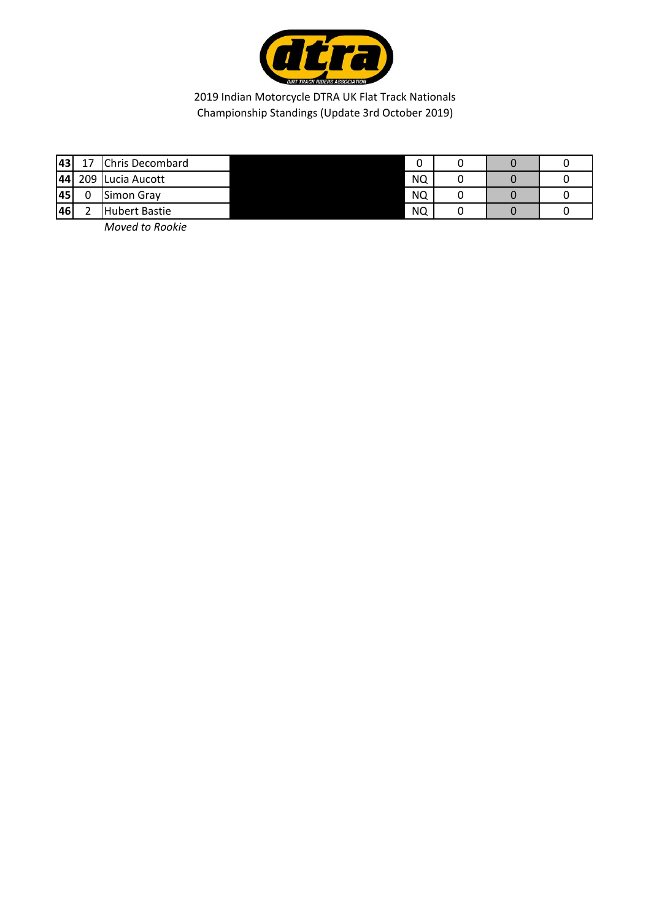

| <b>43</b> | Chris Decombard      | ۰.        |  |  |
|-----------|----------------------|-----------|--|--|
| 44        | 209 Lucia Aucott     | <b>NQ</b> |  |  |
| 45        | Simon Gray           | <b>NQ</b> |  |  |
| 46        | <b>Hubert Bastie</b> | <b>NQ</b> |  |  |

*Moved to Rookie*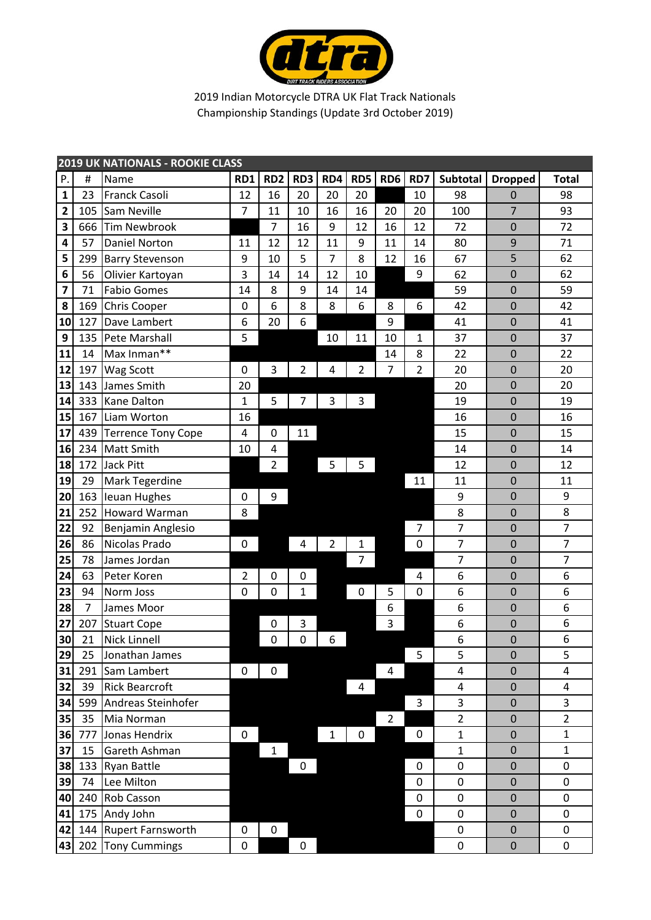

|                         | <b>2019 UK NATIONALS - ROOKIE CLASS</b> |                           |                |                 |                  |              |                |                 |                  |                |                  |                |
|-------------------------|-----------------------------------------|---------------------------|----------------|-----------------|------------------|--------------|----------------|-----------------|------------------|----------------|------------------|----------------|
| Ρ.                      | #                                       | Name                      | RD1            | RD <sub>2</sub> | RD3              | RD4          | RD5            | RD <sub>6</sub> | RD7              | Subtotal       | <b>Dropped</b>   | <b>Total</b>   |
| $\mathbf{1}$            | 23                                      | Franck Casoli             | 12             | 16              | 20               | 20           | 20             |                 | 10               | 98             | $\mathbf 0$      | 98             |
| $\overline{\mathbf{2}}$ | 105                                     | Sam Neville               | $\overline{7}$ | 11              | 10               | 16           | 16             | 20              | 20               | 100            | $\overline{7}$   | 93             |
| 3                       | 666                                     | <b>Tim Newbrook</b>       |                | $\overline{7}$  | 16               | 9            | 12             | 16              | 12               | 72             | $\mathbf 0$      | 72             |
| 4                       | 57                                      | <b>Daniel Norton</b>      | 11             | 12              | 12               | 11           | 9              | 11              | 14               | 80             | 9                | 71             |
| 5                       | 299                                     | <b>Barry Stevenson</b>    | 9              | 10              | 5                | 7            | 8              | 12              | 16               | 67             | 5                | 62             |
| 6                       | 56                                      | Olivier Kartoyan          | 3              | 14              | 14               | 12           | 10             |                 | 9                | 62             | $\mathbf 0$      | 62             |
| $\overline{\mathbf{z}}$ | 71                                      | <b>Fabio Gomes</b>        | 14             | 8               | 9                | 14           | 14             |                 |                  | 59             | $\overline{0}$   | 59             |
| 8                       | 169                                     | <b>Chris Cooper</b>       | $\pmb{0}$      | 6               | 8                | 8            | 6              | 8               | 6                | 42             | $\mathbf 0$      | 42             |
| 10                      | 127                                     | Dave Lambert              | 6              | 20              | 6                |              |                | 9               |                  | 41             | $\mathbf 0$      | 41             |
| 9                       | 135                                     | Pete Marshall             | 5              |                 |                  | 10           | 11             | 10              | $\mathbf{1}$     | 37             | $\mathbf 0$      | 37             |
| 11                      | 14                                      | Max Inman**               |                |                 |                  |              |                | 14              | 8                | 22             | $\mathbf 0$      | 22             |
| 12                      | 197                                     | Wag Scott                 | 0              | 3               | $\overline{2}$   | 4            | $\overline{2}$ | 7               | $\overline{2}$   | 20             | $\overline{0}$   | 20             |
| 13                      | 143                                     | James Smith               | 20             |                 |                  |              |                |                 |                  | 20             | $\mathbf 0$      | 20             |
| 14                      | 333                                     | <b>Kane Dalton</b>        | 1              | 5               | 7                | 3            | 3              |                 |                  | 19             | $\mathbf 0$      | 19             |
| 15                      | 167                                     | Liam Worton               | 16             |                 |                  |              |                |                 |                  | 16             | $\mathbf 0$      | 16             |
| 17                      | 439                                     | <b>Terrence Tony Cope</b> | 4              | $\mathbf 0$     | 11               |              |                |                 |                  | 15             | $\mathbf 0$      | 15             |
| 16                      | 234                                     | <b>Matt Smith</b>         | 10             | 4               |                  |              |                |                 |                  | 14             | $\mathbf 0$      | 14             |
| 18                      | 172                                     | <b>Jack Pitt</b>          |                | $\overline{2}$  |                  | 5            | 5              |                 |                  | 12             | $\mathbf 0$      | 12             |
| 19                      | 29                                      | <b>Mark Tegerdine</b>     |                |                 |                  |              |                |                 | 11               | 11             | $\overline{0}$   | 11             |
| 20                      | 163                                     | <b>Ieuan Hughes</b>       | 0              | 9               |                  |              |                |                 |                  | 9              | $\mathbf 0$      | 9              |
| 21                      | 252                                     | Howard Warman             | 8              |                 |                  |              |                |                 |                  | 8              | $\mathbf 0$      | 8              |
| 22                      | 92                                      | Benjamin Anglesio         |                |                 |                  |              |                |                 | $\overline{7}$   | $\overline{7}$ | $\mathbf 0$      | $\overline{7}$ |
| 26                      | 86                                      | Nicolas Prado             | 0              |                 | 4                | 2            | 1              |                 | 0                | $\overline{7}$ | $\mathbf 0$      | $\overline{7}$ |
| 25                      | 78                                      | James Jordan              |                |                 |                  |              | 7              |                 |                  | 7              | $\mathbf 0$      | $\overline{7}$ |
| 24                      | 63                                      | Peter Koren               | $\overline{2}$ | $\mathbf 0$     | $\mathbf 0$      |              |                |                 | 4                | 6              | $\mathbf 0$      | 6              |
| 23                      | 94                                      | Norm Joss                 | 0              | $\mathbf 0$     | $\mathbf{1}$     |              | 0              | 5               | $\pmb{0}$        | 6              | $\overline{0}$   | 6              |
| 28                      | $\overline{7}$                          | James Moor                |                |                 |                  |              |                | 6               |                  | 6              | $\mathbf 0$      | 6              |
| 27                      | 207                                     | <b>Stuart Cope</b>        |                | 0               | 3                |              |                | 3               |                  | 6              | $\pmb{0}$        | 6              |
| 30                      | 21                                      | <b>Nick Linnell</b>       |                | $\mathbf 0$     | $\mathbf 0$      | 6            |                |                 |                  | 6              | $\overline{0}$   | 6              |
| 29                      | 25                                      | Jonathan James            |                |                 |                  |              |                |                 | 5                | 5              | $\boldsymbol{0}$ | 5              |
| 31                      |                                         | 291 Sam Lambert           | 0              | 0               |                  |              |                | 4               |                  | 4              | 0                | 4              |
| 32                      | 39                                      | <b>Rick Bearcroft</b>     |                |                 |                  |              | 4              |                 |                  | 4              | 0                | 4              |
| 34                      | 599                                     | Andreas Steinhofer        |                |                 |                  |              |                |                 | 3                | 3              | $\mathbf 0$      | 3              |
| 35                      | 35                                      | Mia Norman                |                |                 |                  |              |                | $\overline{2}$  |                  | $\overline{2}$ | $\mathbf 0$      | $\overline{2}$ |
| 36                      | 777                                     | Jonas Hendrix             | 0              |                 |                  | $\mathbf{1}$ | $\pmb{0}$      |                 | $\pmb{0}$        | $\mathbf{1}$   | $\mathbf 0$      | $\mathbf{1}$   |
| 37                      | 15                                      | Gareth Ashman             |                | 1               |                  |              |                |                 |                  | $\mathbf{1}$   | $\mathbf 0$      | $\mathbf{1}$   |
| 38                      | 133                                     | <b>Ryan Battle</b>        |                |                 | 0                |              |                |                 | 0                | 0              | $\mathbf 0$      | 0              |
| 39                      | 74                                      | Lee Milton                |                |                 |                  |              |                |                 | 0                | $\pmb{0}$      | 0                | 0              |
| 40                      |                                         | 240 Rob Casson            |                |                 |                  |              |                |                 | $\pmb{0}$        | 0              | $\mathbf 0$      | 0              |
| 41                      |                                         | 175 Andy John             |                |                 |                  |              |                |                 | $\boldsymbol{0}$ | 0              | $\mathbf 0$      | $\pmb{0}$      |
| 42                      |                                         | 144 Rupert Farnsworth     | 0              | 0               |                  |              |                |                 |                  | 0              | $\mathbf 0$      | $\pmb{0}$      |
| 43                      |                                         | 202 Tony Cummings         | 0              |                 | $\boldsymbol{0}$ |              |                |                 |                  | 0              | $\mathbf 0$      | 0              |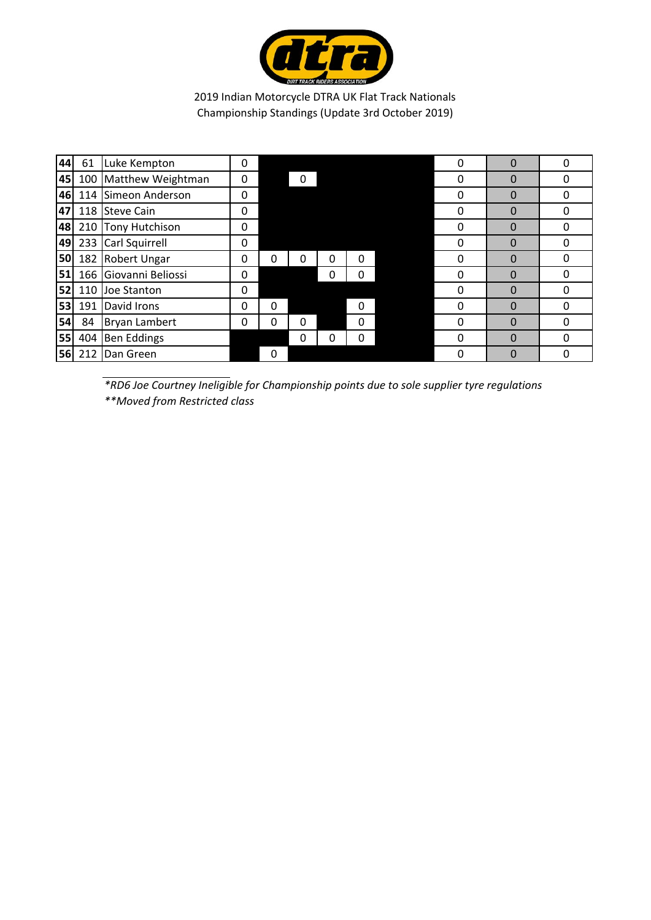

| 44        | 61  | Luke Kempton          | 0 |   |          |   |          | $\Omega$ | 0           | O |
|-----------|-----|-----------------------|---|---|----------|---|----------|----------|-------------|---|
| 45        | 100 | Matthew Weightman     | 0 |   | 0        |   |          | 0        | 0           |   |
| 46        |     | 114 Simeon Anderson   | 0 |   |          |   |          | 0        | 0           |   |
| 47        |     | 118 Steve Cain        | 0 |   |          |   |          | $\Omega$ | 0           | O |
| 48        |     | 210 Tony Hutchison    | 0 |   |          |   |          | 0        | $\Omega$    | O |
| 49        |     | 233 Carl Squirrell    | 0 |   |          |   |          | 0        | $\mathbf 0$ | ი |
| <b>50</b> |     | 182 Robert Ungar      | 0 | 0 | 0        | 0 | 0        | 0        | $\Omega$    | O |
| 51        |     | 166 Giovanni Beliossi | 0 |   |          | 0 | 0        | 0        | $\mathbf 0$ | 0 |
| 52        | 110 | Joe Stanton           | 0 |   |          |   |          | 0        | 0           |   |
| 53        | 191 | David Irons           | 0 | 0 |          |   | $\Omega$ | $\Omega$ | $\Omega$    |   |
| 54        | 84  | <b>Bryan Lambert</b>  | 0 | 0 | $\Omega$ |   | 0        | $\Omega$ | $\Omega$    | O |
| 55        | 404 | <b>Ben Eddings</b>    |   |   | 0        | 0 | 0        | 0        | $\Omega$    | O |
| 56        | 212 | Dan Green             |   | 0 |          |   |          | $\Omega$ | 0           |   |

*\*RD6 Joe Courtney Ineligible for Championship points due to sole supplier tyre regulations \*\*Moved from Restricted class*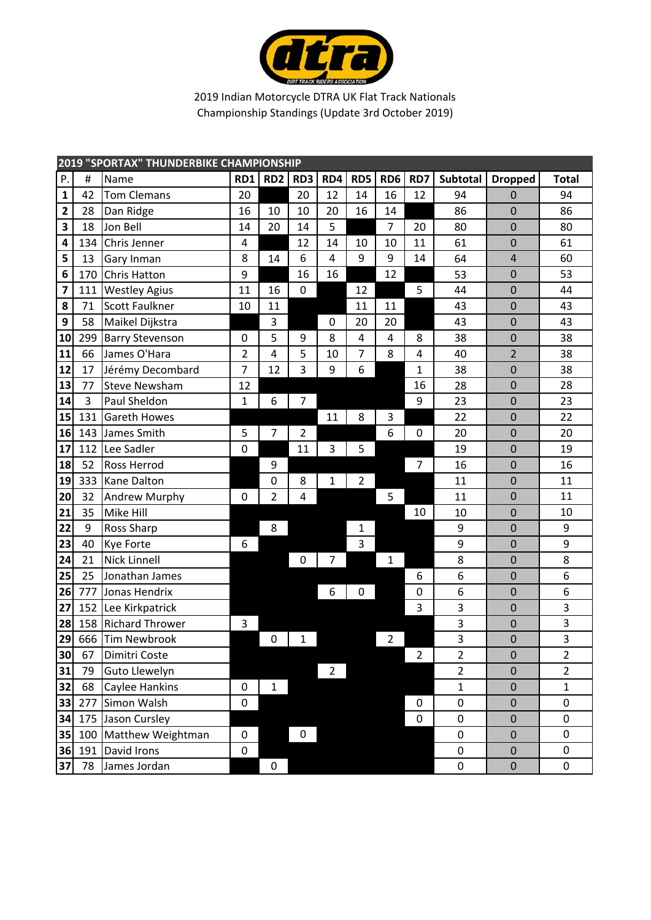

|              | <b>2019 "SPORTAX" THUNDERBIKE CHAMPIONSHIP</b> |                        |                |                 |                 |                         |                |                         |                |                 |                  |                |  |
|--------------|------------------------------------------------|------------------------|----------------|-----------------|-----------------|-------------------------|----------------|-------------------------|----------------|-----------------|------------------|----------------|--|
| P.           | #                                              | Name                   | RD1            | RD <sub>2</sub> | RD <sub>3</sub> | RD4                     | RD5            | RD <sub>6</sub>         | RD7            | <b>Subtotal</b> | <b>Dropped</b>   | <b>Total</b>   |  |
| $\mathbf{1}$ | 42                                             | <b>Tom Clemans</b>     | 20             |                 | 20              | 12                      | 14             | 16                      | 12             | 94              | $\mathbf 0$      | 94             |  |
| 2            | 28                                             | Dan Ridge              | 16             | 10              | 10              | 20                      | 16             | 14                      |                | 86              | $\overline{0}$   | 86             |  |
| 3            | 18                                             | Jon Bell               | 14             | 20              | 14              | 5                       |                | $\overline{7}$          | 20             | 80              | $\mathbf 0$      | 80             |  |
| 4            | 134                                            | Chris Jenner           | 4              |                 | 12              | 14                      | 10             | 10                      | 11             | 61              | $\mathbf 0$      | 61             |  |
| 5            | 13                                             | Gary Inman             | 8              | 14              | 6               | $\overline{\mathbf{4}}$ | 9              | 9                       | 14             | 64              | $\overline{4}$   | 60             |  |
| 6            | 170                                            | <b>Chris Hatton</b>    | 9              |                 | 16              | 16                      |                | 12                      |                | 53              | $\mathbf 0$      | 53             |  |
| 7            | 111                                            | <b>Westley Agius</b>   | 11             | 16              | $\mathbf 0$     |                         | 12             |                         | 5              | 44              | $\overline{0}$   | 44             |  |
| 8            | 71                                             | <b>Scott Faulkner</b>  | 10             | 11              |                 |                         | 11             | 11                      |                | 43              | $\mathbf 0$      | 43             |  |
| 9            | 58                                             | Maikel Dijkstra        |                | 3               |                 | $\mathbf 0$             | 20             | 20                      |                | 43              | $\mathbf 0$      | 43             |  |
| 10           | 299                                            | <b>Barry Stevenson</b> | 0              | 5               | 9               | 8                       | 4              | $\overline{\mathbf{4}}$ | 8              | 38              | $\mathbf 0$      | 38             |  |
| 11           | 66                                             | James O'Hara           | $\overline{2}$ | 4               | 5               | 10                      | 7              | 8                       | 4              | 40              | $\overline{2}$   | 38             |  |
| 12           | 17                                             | Jérémy Decombard       | $\overline{7}$ | 12              | 3               | 9                       | 6              |                         | 1              | 38              | $\overline{0}$   | 38             |  |
| 13           | 77                                             | <b>Steve Newsham</b>   | 12             |                 |                 |                         |                |                         | 16             | 28              | $\mathbf 0$      | 28             |  |
| 14           | 3                                              | Paul Sheldon           | $\mathbf{1}$   | 6               | 7               |                         |                |                         | 9              | 23              | $\overline{0}$   | 23             |  |
| 15           | 131                                            | Gareth Howes           |                |                 |                 | 11                      | 8              | 3                       |                | 22              | $\mathbf 0$      | 22             |  |
| 16           | 143                                            | James Smith            | 5              | $\overline{7}$  | $\overline{2}$  |                         |                | 6                       | $\mathbf 0$    | 20              | $\mathbf 0$      | 20             |  |
| 17           | 112                                            | Lee Sadler             | 0              |                 | 11              | 3                       | 5              |                         |                | 19              | $\mathbf 0$      | 19             |  |
| 18           | 52                                             | <b>Ross Herrod</b>     |                | 9               |                 |                         |                |                         | 7              | 16              | $\mathbf 0$      | 16             |  |
| 19           | 333                                            | <b>Kane Dalton</b>     |                | $\mathbf 0$     | 8               | $\mathbf{1}$            | $\overline{2}$ |                         |                | 11              | $\mathbf 0$      | 11             |  |
| 20           | 32                                             | Andrew Murphy          | 0              | $\overline{2}$  | 4               |                         |                | 5                       |                | 11              | $\mathbf 0$      | 11             |  |
| 21           | 35                                             | Mike Hill              |                |                 |                 |                         |                |                         | 10             | 10              | $\overline{0}$   | 10             |  |
| 22           | 9                                              | Ross Sharp             |                | 8               |                 |                         | 1              |                         |                | 9               | $\mathbf 0$      | 9              |  |
| 23           | 40                                             | <b>Kye Forte</b>       | 6              |                 |                 |                         | 3              |                         |                | 9               | $\mathbf 0$      | 9              |  |
| 24           | 21                                             | <b>Nick Linnell</b>    |                |                 | $\mathbf 0$     | 7                       |                | 1                       |                | 8               | $\mathbf 0$      | 8              |  |
| 25           | 25                                             | Jonathan James         |                |                 |                 |                         |                |                         | 6              | 6               | 0                | 6              |  |
| 26           | 777                                            | Jonas Hendrix          |                |                 |                 | 6                       | 0              |                         | $\mathbf 0$    | 6               | $\overline{0}$   | 6              |  |
| 27           | 152                                            | Lee Kirkpatrick        |                |                 |                 |                         |                |                         | 3              | $\mathsf 3$     | $\mathbf 0$      | 3              |  |
| 28           | 158                                            | <b>Richard Thrower</b> | 3              |                 |                 |                         |                |                         |                | 3               | $\mathbf 0$      | 3              |  |
| 29           |                                                | 666 Tim Newbrook       |                | 0               | $\mathbf 1$     |                         |                | 2                       |                | 3               | $\mathbf 0$      | 3              |  |
| 30           | 67                                             | Dimitri Coste          |                |                 |                 |                         |                |                         | $\overline{2}$ | $\overline{2}$  | $\mathbf 0$      | $\overline{2}$ |  |
| 31           | 79                                             | Guto Llewelyn          |                |                 |                 | $\overline{2}$          |                |                         |                | $\overline{2}$  | 0                | $\overline{2}$ |  |
| 32           | 68                                             | Caylee Hankins         | 0              | 1               |                 |                         |                |                         |                | $\mathbf{1}$    | $\pmb{0}$        | $\mathbf{1}$   |  |
| 33           | 277                                            | Simon Walsh            | $\mathsf 0$    |                 |                 |                         |                |                         | $\mathbf 0$    | $\pmb{0}$       | $\mathbf 0$      | 0              |  |
| 34           |                                                | 175 Jason Cursley      |                |                 |                 |                         |                |                         | $\pmb{0}$      | $\pmb{0}$       | $\boldsymbol{0}$ | 0              |  |
| 35           | 100                                            | Matthew Weightman      | $\pmb{0}$      |                 | $\mathbf 0$     |                         |                |                         |                | $\pmb{0}$       | $\pmb{0}$        | $\pmb{0}$      |  |
| 36           | 191                                            | David Irons            | $\pmb{0}$      |                 |                 |                         |                |                         |                | $\pmb{0}$       | $\pmb{0}$        | $\mathbf 0$    |  |
| 37           | 78                                             | James Jordan           |                | $\pmb{0}$       |                 |                         |                |                         |                | $\pmb{0}$       | $\mathbf 0$      | 0              |  |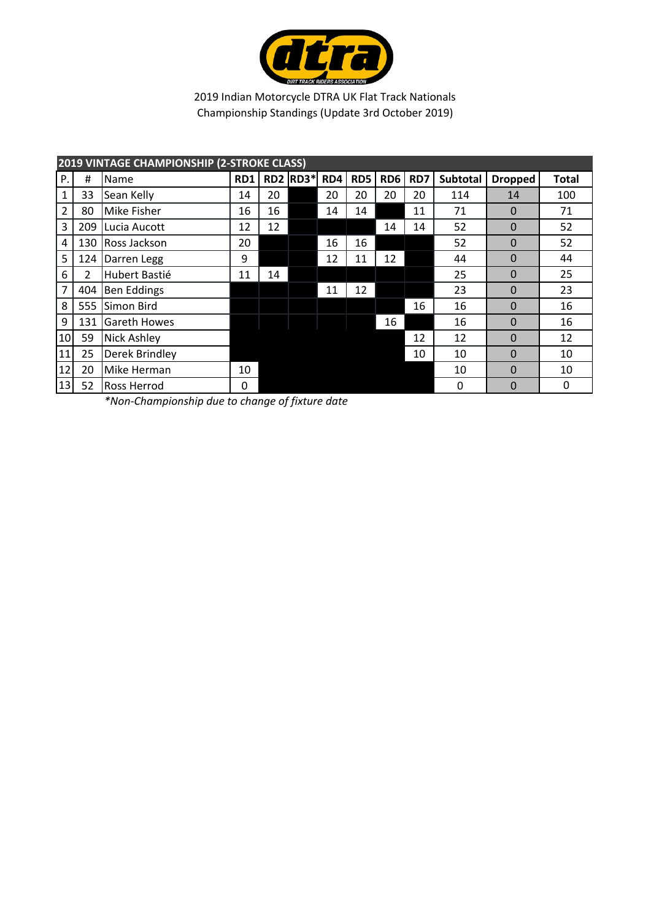

|              |     | <b>2019 VINTAGE CHAMPIONSHIP (2-STROKE CLASS)</b> |     |    |                 |     |     |                 |     |                 |                |              |
|--------------|-----|---------------------------------------------------|-----|----|-----------------|-----|-----|-----------------|-----|-----------------|----------------|--------------|
| Ρ.           | #   | Name                                              | RD1 |    | <b>RD2 RD3*</b> | RD4 | RD5 | RD <sub>6</sub> | RD7 | <b>Subtotal</b> | <b>Dropped</b> | <b>Total</b> |
| $\mathbf{1}$ | 33  | Sean Kelly                                        | 14  | 20 |                 | 20  | 20  | 20              | 20  | 114             | 14             | 100          |
| 2            | 80  | Mike Fisher                                       | 16  | 16 |                 | 14  | 14  |                 | 11  | 71              | $\Omega$       | 71           |
| 3            | 209 | Lucia Aucott                                      | 12  | 12 |                 |     |     | 14              | 14  | 52              | $\Omega$       | 52           |
| 4            | 130 | Ross Jackson                                      | 20  |    |                 | 16  | 16  |                 |     | 52              | $\Omega$       | 52           |
| 5            | 124 | Darren Legg                                       | 9   |    |                 | 12  | 11  | 12              |     | 44              | $\Omega$       | 44           |
| 6            | 2   | Hubert Bastié                                     | 11  | 14 |                 |     |     |                 |     | 25              | $\mathbf{0}$   | 25           |
| 7            | 404 | <b>Ben Eddings</b>                                |     |    |                 | 11  | 12  |                 |     | 23              | $\Omega$       | 23           |
| 8            | 555 | Simon Bird                                        |     |    |                 |     |     |                 | 16  | 16              | $\Omega$       | 16           |
| 9            | 131 | <b>Gareth Howes</b>                               |     |    |                 |     |     | 16              |     | 16              | $\Omega$       | 16           |
| 10           | 59  | <b>Nick Ashley</b>                                |     |    |                 |     |     |                 | 12  | 12              | $\Omega$       | 12           |
| 11           | 25  | Derek Brindley                                    |     |    |                 |     |     |                 | 10  | 10              | $\Omega$       | 10           |
| 12           | 20  | Mike Herman                                       | 10  |    |                 |     |     |                 |     | 10              | $\Omega$       | 10           |
| 13           | 52  | <b>Ross Herrod</b>                                | 0   |    |                 |     |     |                 |     | 0               | $\Omega$       | 0            |

*\*Non‐Championship due to change of fixture date*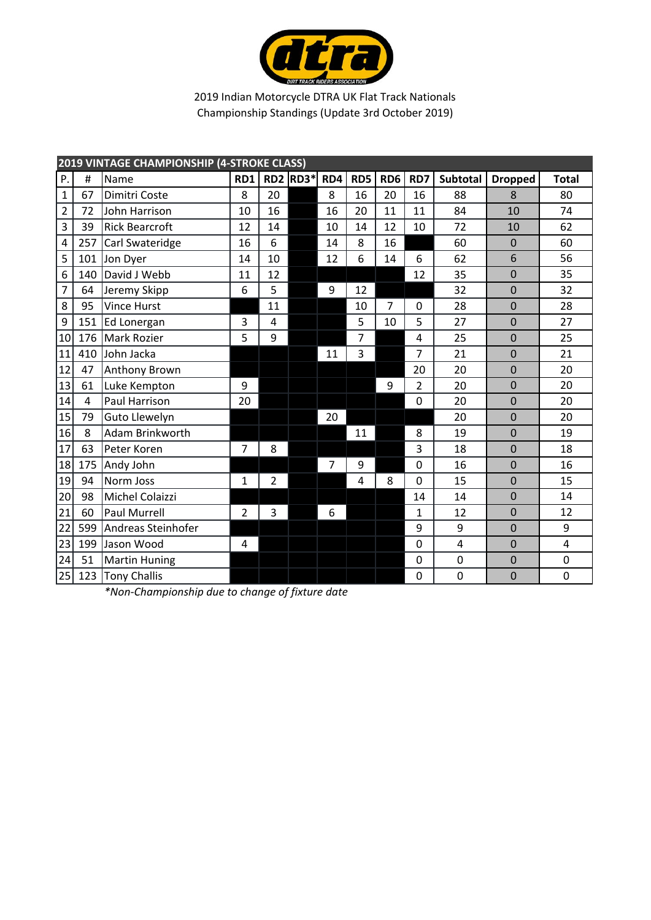

|                |                | 2019 VINTAGE CHAMPIONSHIP (4-STROKE CLASS) |                |                 |      |     |     |                 |                |                 |                |              |
|----------------|----------------|--------------------------------------------|----------------|-----------------|------|-----|-----|-----------------|----------------|-----------------|----------------|--------------|
| P.             | #              | Name                                       | RD1            | RD <sub>2</sub> | RD3* | RD4 | RD5 | RD <sub>6</sub> | RD7            | <b>Subtotal</b> | <b>Dropped</b> | <b>Total</b> |
| $\mathbf{1}$   | 67             | Dimitri Coste                              | 8              | 20              |      | 8   | 16  | 20              | 16             | 88              | 8              | 80           |
| $\overline{c}$ | 72             | John Harrison                              | 10             | 16              |      | 16  | 20  | 11              | 11             | 84              | 10             | 74           |
| 3              | 39             | <b>Rick Bearcroft</b>                      | 12             | 14              |      | 10  | 14  | 12              | 10             | 72              | 10             | 62           |
| 4              | 257            | Carl Swateridge                            | 16             | 6               |      | 14  | 8   | 16              |                | 60              | $\mathbf 0$    | 60           |
| 5              | 101            | Jon Dyer                                   | 14             | 10              |      | 12  | 6   | 14              | 6              | 62              | 6              | 56           |
| 6              | 140            | David J Webb                               | 11             | 12              |      |     |     |                 | 12             | 35              | $\mathbf 0$    | 35           |
| 7              | 64             | Jeremy Skipp                               | 6              | 5               |      | 9   | 12  |                 |                | 32              | $\mathbf 0$    | 32           |
| 8              | 95             | <b>Vince Hurst</b>                         |                | 11              |      |     | 10  | 7               | 0              | 28              | 0              | 28           |
| 9              | 151            | Ed Lonergan                                | 3              | 4               |      |     | 5   | 10              | 5              | 27              | $\mathbf 0$    | 27           |
| 10             | 176            | <b>Mark Rozier</b>                         | 5              | 9               |      |     | 7   |                 | 4              | 25              | $\mathbf 0$    | 25           |
| 11             | 410            | John Jacka                                 |                |                 |      | 11  | 3   |                 | 7              | 21              | $\overline{0}$ | 21           |
| 12             | 47             | <b>Anthony Brown</b>                       |                |                 |      |     |     |                 | 20             | 20              | $\mathbf 0$    | 20           |
| 13             | 61             | Luke Kempton                               | 9              |                 |      |     |     | 9               | $\overline{2}$ | 20              | $\mathbf 0$    | 20           |
| 14             | $\overline{4}$ | Paul Harrison                              | 20             |                 |      |     |     |                 | $\mathbf 0$    | 20              | $\overline{0}$ | 20           |
| 15             | 79             | Guto Llewelyn                              |                |                 |      | 20  |     |                 |                | 20              | $\mathbf 0$    | 20           |
| 16             | 8              | Adam Brinkworth                            |                |                 |      |     | 11  |                 | 8              | 19              | $\overline{0}$ | 19           |
| 17             | 63             | Peter Koren                                | $\overline{7}$ | 8               |      |     |     |                 | 3              | 18              | $\mathbf 0$    | 18           |
| 18             | 175            | Andy John                                  |                |                 |      | 7   | 9   |                 | $\mathbf 0$    | 16              | $\mathbf 0$    | 16           |
| 19             | 94             | Norm Joss                                  | $\mathbf{1}$   | $\overline{2}$  |      |     | 4   | 8               | $\mathbf 0$    | 15              | $\mathbf 0$    | 15           |
| 20             | 98             | Michel Colaizzi                            |                |                 |      |     |     |                 | 14             | 14              | $\mathbf 0$    | 14           |
| 21             | 60             | Paul Murrell                               | $\overline{2}$ | 3               |      | 6   |     |                 | 1              | 12              | $\mathbf 0$    | 12           |
| 22             | 599            | Andreas Steinhofer                         |                |                 |      |     |     |                 | 9              | 9               | $\mathbf 0$    | 9            |
| 23             | 199            | Jason Wood                                 | 4              |                 |      |     |     |                 | 0              | 4               | $\mathbf 0$    | 4            |
| 24             | 51             | <b>Martin Huning</b>                       |                |                 |      |     |     |                 | $\mathbf 0$    | 0               | $\mathbf 0$    | 0            |
| 25             | 123            | Tony Challis                               |                |                 |      |     |     |                 | $\mathbf 0$    | 0               | $\mathbf 0$    | 0            |

*\*Non‐Championship due to change of fixture date*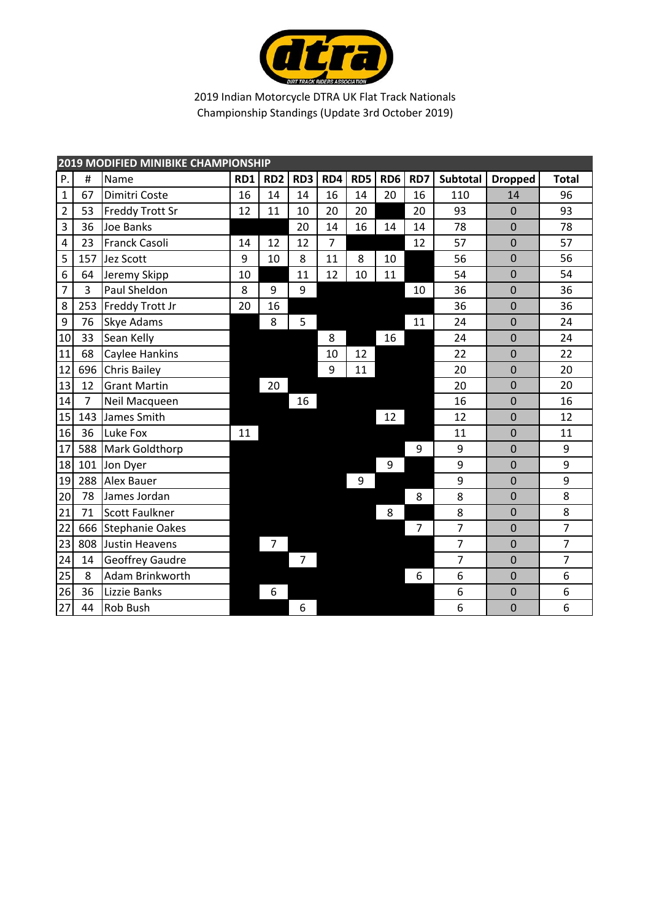

|                | <b>2019 MODIFIED MINIBIKE CHAMPIONSHIP</b> |                        |     |                 |                |     |     |                 |     |                |                |                |  |  |
|----------------|--------------------------------------------|------------------------|-----|-----------------|----------------|-----|-----|-----------------|-----|----------------|----------------|----------------|--|--|
| Ρ.             | #                                          | Name                   | RD1 | RD <sub>2</sub> | RD3            | RD4 | RD5 | RD <sub>6</sub> | RD7 | Subtotal       | <b>Dropped</b> | <b>Total</b>   |  |  |
| $\mathbf{1}$   | 67                                         | Dimitri Coste          | 16  | 14              | 14             | 16  | 14  | 20              | 16  | 110            | 14             | 96             |  |  |
| $\overline{2}$ | 53                                         | <b>Freddy Trott Sr</b> | 12  | 11              | 10             | 20  | 20  |                 | 20  | 93             | $\mathbf 0$    | 93             |  |  |
| 3              | 36                                         | Joe Banks              |     |                 | 20             | 14  | 16  | 14              | 14  | 78             | $\mathbf 0$    | 78             |  |  |
| 4              | 23                                         | <b>Franck Casoli</b>   | 14  | 12              | 12             | 7   |     |                 | 12  | 57             | $\mathbf 0$    | 57             |  |  |
| 5              | 157                                        | Jez Scott              | 9   | 10              | 8              | 11  | 8   | 10              |     | 56             | $\mathbf 0$    | 56             |  |  |
| 6              | 64                                         | Jeremy Skipp           | 10  |                 | 11             | 12  | 10  | 11              |     | 54             | $\overline{0}$ | 54             |  |  |
| 7              | 3                                          | Paul Sheldon           | 8   | 9               | 9              |     |     |                 | 10  | 36             | $\mathbf 0$    | 36             |  |  |
| 8              | 253                                        | Freddy Trott Jr        | 20  | 16              |                |     |     |                 |     | 36             | 0              | 36             |  |  |
| 9              | 76                                         | Skye Adams             |     | 8               | 5              |     |     |                 | 11  | 24             | $\overline{0}$ | 24             |  |  |
| 10             | 33                                         | Sean Kelly             |     |                 |                | 8   |     | 16              |     | 24             | $\mathbf 0$    | 24             |  |  |
| 11             | 68                                         | Caylee Hankins         |     |                 |                | 10  | 12  |                 |     | 22             | $\mathbf 0$    | 22             |  |  |
| 12             | 696                                        | <b>Chris Bailey</b>    |     |                 |                | 9   | 11  |                 |     | 20             | $\mathbf 0$    | 20             |  |  |
| 13             | 12                                         | <b>Grant Martin</b>    |     | 20              |                |     |     |                 |     | 20             | $\mathbf 0$    | 20             |  |  |
| 14             | 7                                          | Neil Macqueen          |     |                 | 16             |     |     |                 |     | 16             | $\mathbf 0$    | 16             |  |  |
| 15             | 143                                        | James Smith            |     |                 |                |     |     | 12              |     | 12             | $\overline{0}$ | 12             |  |  |
| 16             | 36                                         | Luke Fox               | 11  |                 |                |     |     |                 |     | 11             | $\mathbf 0$    | 11             |  |  |
| 17             | 588                                        | Mark Goldthorp         |     |                 |                |     |     |                 | 9   | 9              | $\mathbf 0$    | 9              |  |  |
| 18             | 101                                        | Jon Dyer               |     |                 |                |     |     | 9               |     | 9              | $\mathbf 0$    | 9              |  |  |
| 19             | 288                                        | <b>Alex Bauer</b>      |     |                 |                |     | 9   |                 |     | 9              | $\overline{0}$ | 9              |  |  |
| 20             | 78                                         | James Jordan           |     |                 |                |     |     |                 | 8   | 8              | $\overline{0}$ | 8              |  |  |
| 21             | 71                                         | <b>Scott Faulkner</b>  |     |                 |                |     |     | 8               |     | 8              | $\mathbf 0$    | 8              |  |  |
| 22             | 666                                        | <b>Stephanie Oakes</b> |     |                 |                |     |     |                 | 7   | 7              | $\overline{0}$ | $\overline{7}$ |  |  |
| 23             | 808                                        | Justin Heavens         |     | 7               |                |     |     |                 |     | $\overline{7}$ | $\mathbf 0$    | $\overline{7}$ |  |  |
| 24             | 14                                         | Geoffrey Gaudre        |     |                 | $\overline{7}$ |     |     |                 |     | $\overline{7}$ | $\mathbf 0$    | $\overline{7}$ |  |  |
| 25             | 8                                          | Adam Brinkworth        |     |                 |                |     |     |                 | 6   | 6              | $\mathbf 0$    | 6              |  |  |
| 26             | 36                                         | Lizzie Banks           |     | 6               |                |     |     |                 |     | 6              | $\mathbf 0$    | 6              |  |  |
| 27             | 44                                         | Rob Bush               |     |                 | 6              |     |     |                 |     | 6              | $\mathbf 0$    | 6              |  |  |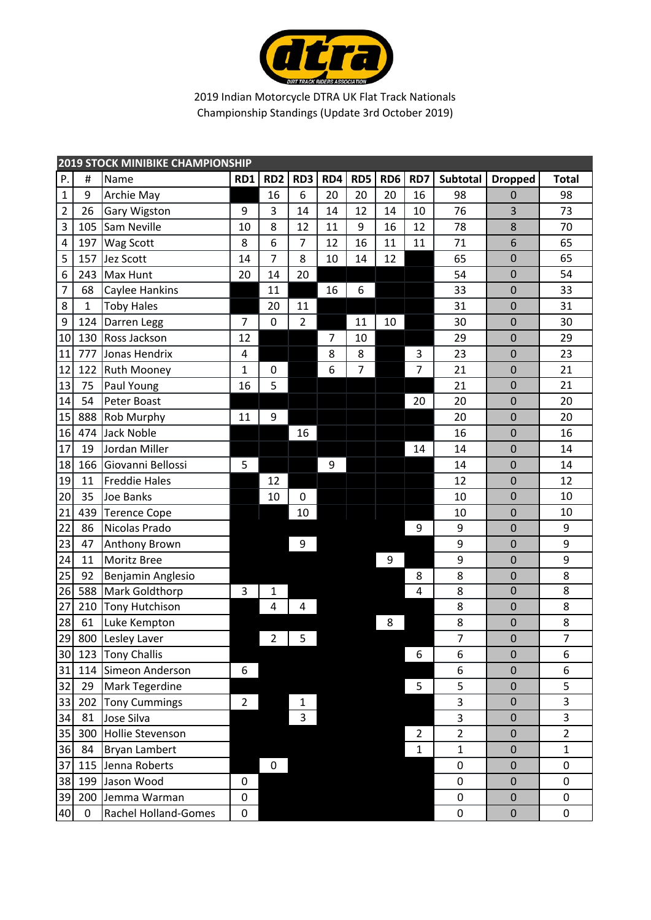

| <b>2019 STOCK MINIBIKE CHAMPIONSHIP</b> |              |                      |                |                 |                |     |     |                 |                |                |                  |                |
|-----------------------------------------|--------------|----------------------|----------------|-----------------|----------------|-----|-----|-----------------|----------------|----------------|------------------|----------------|
| P.                                      | #            | Name                 | RD1            | RD <sub>2</sub> | RD3            | RD4 | RD5 | RD <sub>6</sub> | RD7            | Subtotal       | <b>Dropped</b>   | <b>Total</b>   |
| $\mathbf{1}$                            | 9            | Archie May           |                | 16              | 6              | 20  | 20  | 20              | 16             | 98             | 0                | 98             |
| $\overline{2}$                          | 26           | Gary Wigston         | 9              | 3               | 14             | 14  | 12  | 14              | 10             | 76             | 3                | 73             |
| 3                                       | 105          | Sam Neville          | 10             | 8               | 12             | 11  | 9   | 16              | 12             | 78             | 8                | 70             |
| $\pmb{4}$                               | 197          | Wag Scott            | 8              | 6               | $\overline{7}$ | 12  | 16  | 11              | 11             | 71             | 6                | 65             |
| 5                                       | 157          | Jez Scott            | 14             | $\overline{7}$  | 8              | 10  | 14  | 12              |                | 65             | $\mathbf 0$      | 65             |
| 6                                       | 243          | Max Hunt             | 20             | 14              | 20             |     |     |                 |                | 54             | $\mathbf 0$      | 54             |
| $\overline{7}$                          | 68           | Caylee Hankins       |                | 11              |                | 16  | 6   |                 |                | 33             | $\overline{0}$   | 33             |
| 8                                       | $\mathbf{1}$ | <b>Toby Hales</b>    |                | 20              | 11             |     |     |                 |                | 31             | $\mathbf 0$      | 31             |
| 9                                       | 124          | Darren Legg          | $\overline{7}$ | $\pmb{0}$       | $\overline{2}$ |     | 11  | 10              |                | 30             | $\mathbf 0$      | 30             |
| 10                                      | 130          | Ross Jackson         | 12             |                 |                | 7   | 10  |                 |                | 29             | $\mathbf 0$      | 29             |
| 11                                      | 777          | Jonas Hendrix        | 4              |                 |                | 8   | 8   |                 | 3              | 23             | $\mathbf 0$      | 23             |
| 12                                      | 122          | <b>Ruth Mooney</b>   | $\mathbf{1}$   | $\pmb{0}$       |                | 6   | 7   |                 | 7              | 21             | $\mathbf 0$      | 21             |
| 13                                      | 75           | Paul Young           | 16             | 5               |                |     |     |                 |                | 21             | $\mathbf 0$      | 21             |
| 14                                      | 54           | Peter Boast          |                |                 |                |     |     |                 | 20             | 20             | $\mathbf 0$      | 20             |
| 15                                      | 888          | <b>Rob Murphy</b>    | 11             | 9               |                |     |     |                 |                | 20             | $\mathbf 0$      | 20             |
| 16                                      | 474          | <b>Jack Noble</b>    |                |                 | 16             |     |     |                 |                | 16             | $\mathbf 0$      | 16             |
| 17                                      | 19           | Jordan Miller        |                |                 |                |     |     |                 | 14             | 14             | $\mathbf 0$      | 14             |
| 18                                      | 166          | Giovanni Bellossi    | 5              |                 |                | 9   |     |                 |                | 14             | $\mathbf 0$      | 14             |
| 19                                      | 11           | <b>Freddie Hales</b> |                | 12              |                |     |     |                 |                | 12             | $\mathbf 0$      | 12             |
| 20                                      | 35           | Joe Banks            |                | 10              | 0              |     |     |                 |                | 10             | $\mathbf 0$      | 10             |
| 21                                      | 439          | <b>Terence Cope</b>  |                |                 | 10             |     |     |                 |                | 10             | $\mathbf 0$      | 10             |
| 22                                      | 86           | Nicolas Prado        |                |                 |                |     |     |                 | 9              | 9              | $\mathbf 0$      | 9              |
| 23                                      | 47           | Anthony Brown        |                |                 | 9              |     |     |                 |                | 9              | $\mathbf 0$      | 9              |
| 24                                      | 11           | <b>Moritz Bree</b>   |                |                 |                |     |     | 9               |                | 9              | $\mathbf 0$      | 9              |
| 25                                      | 92           | Benjamin Anglesio    |                |                 |                |     |     |                 | 8              | 8              | $\mathbf 0$      | 8              |
| 26                                      | 588          | Mark Goldthorp       | 3              | $\mathbf{1}$    |                |     |     |                 | 4              | 8              | $\mathbf 0$      | $\overline{8}$ |
| 27                                      | 210          | Tony Hutchison       |                | 4               | $\pmb{4}$      |     |     |                 |                | 8              | $\mathbf 0$      | 8              |
| 28                                      | 61           | Luke Kempton         |                |                 |                |     |     | 8               |                | 8              | $\pmb{0}$        | 8              |
| 29                                      |              | 800 Lesley Laver     |                | $\overline{2}$  | 5              |     |     |                 |                | $\overline{7}$ | $\mathbf 0$      | $\overline{7}$ |
| 30                                      | 123          | <b>Tony Challis</b>  |                |                 |                |     |     |                 | 6              | 6              | $\boldsymbol{0}$ | 6              |
| 31                                      |              | 114 Simeon Anderson  | 6              |                 |                |     |     |                 |                | 6              | 0                | 6              |
| 32                                      | 29           | Mark Tegerdine       |                |                 |                |     |     |                 | 5              | 5              | $\pmb{0}$        | 5              |
| 33                                      | 202          | <b>Tony Cummings</b> | $\overline{2}$ |                 | 1              |     |     |                 |                | 3              | $\pmb{0}$        | 3              |
| 34                                      | 81           | Jose Silva           |                |                 | 3              |     |     |                 |                | 3              | $\mathbf 0$      | 3              |
| 35                                      | 300          | Hollie Stevenson     |                |                 |                |     |     |                 | $\overline{2}$ | $\overline{2}$ | $\mathbf 0$      | $\overline{2}$ |
| 36                                      | 84           | <b>Bryan Lambert</b> |                |                 |                |     |     |                 | $\mathbf{1}$   | $\mathbf 1$    | $\mathbf 0$      | $\mathbf{1}$   |
| 37                                      | 115          | Jenna Roberts        |                | $\mathbf 0$     |                |     |     |                 |                | 0              | $\pmb{0}$        | 0              |
| 38                                      | 199          | Jason Wood           | 0              |                 |                |     |     |                 |                | 0              | $\mathbf 0$      | $\pmb{0}$      |
| 39                                      | 200          | Jemma Warman         | 0              |                 |                |     |     |                 |                | $\pmb{0}$      | $\pmb{0}$        | 0              |
| 40                                      | $\mathbf 0$  | Rachel Holland-Gomes | 0              |                 |                |     |     |                 |                | $\pmb{0}$      | $\pmb{0}$        | $\mathbf 0$    |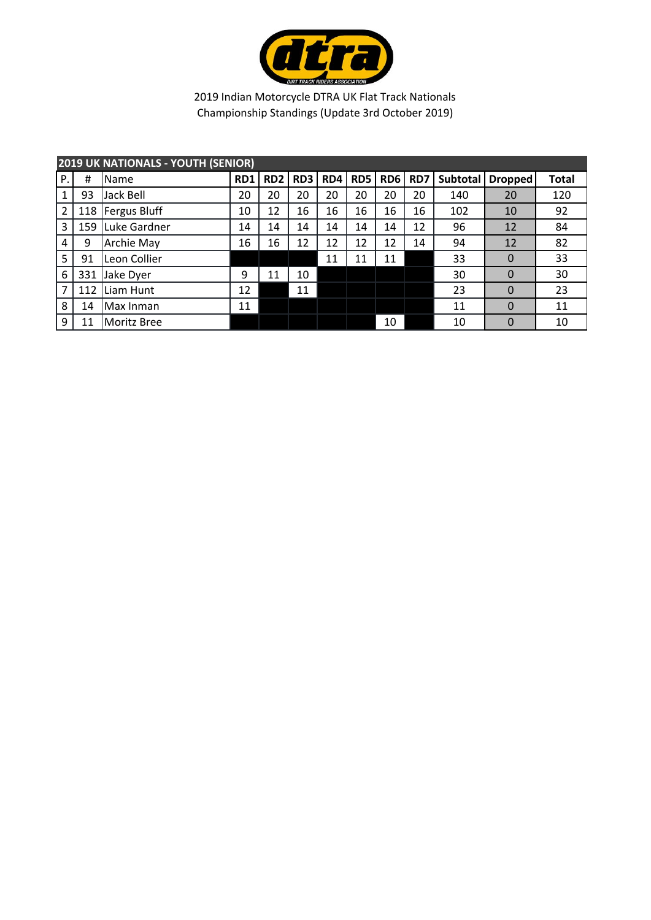

|                | <b>2019 UK NATIONALS - YOUTH (SENIOR)</b> |                     |                 |                 |     |     |            |                 |     |          |                |              |  |  |  |
|----------------|-------------------------------------------|---------------------|-----------------|-----------------|-----|-----|------------|-----------------|-----|----------|----------------|--------------|--|--|--|
| Ρ.             | #                                         | Name                | RD <sub>1</sub> | RD <sub>2</sub> | RD3 | RD4 | <b>RD5</b> | RD <sub>6</sub> | RD7 | Subtotal | <b>Dropped</b> | <b>Total</b> |  |  |  |
|                | 93                                        | Jack Bell           | 20              | 20              | 20  | 20  | 20         | 20              | 20  | 140      | 20             | 120          |  |  |  |
| $\overline{2}$ | 118                                       | <b>Fergus Bluff</b> | 10              | 12              | 16  | 16  | 16         | 16              | 16  | 102      | 10             | 92           |  |  |  |
| 3              | 159                                       | Luke Gardner        | 14              | 14              | 14  | 14  | 14         | 14              | 12  | 96       | 12             | 84           |  |  |  |
| 4              | 9                                         | <b>Archie May</b>   | 16              | 16              | 12  | 12  | 12         | 12              | 14  | 94       | 12             | 82           |  |  |  |
| 5              | 91                                        | Leon Collier        |                 |                 |     | 11  | 11         | 11              |     | 33       | $\Omega$       | 33           |  |  |  |
| 6              | 331                                       | Jake Dyer           | 9               | 11              | 10  |     |            |                 |     | 30       | $\Omega$       | 30           |  |  |  |
| 7              | 112                                       | Liam Hunt           | 12              |                 | 11  |     |            |                 |     | 23       | $\Omega$       | 23           |  |  |  |
| 8              | 14                                        | Max Inman           | 11              |                 |     |     |            |                 |     | 11       | $\Omega$       | 11           |  |  |  |
| 9              | 11                                        | Moritz Bree         |                 |                 |     |     |            | 10              |     | 10       | $\mathbf 0$    | 10           |  |  |  |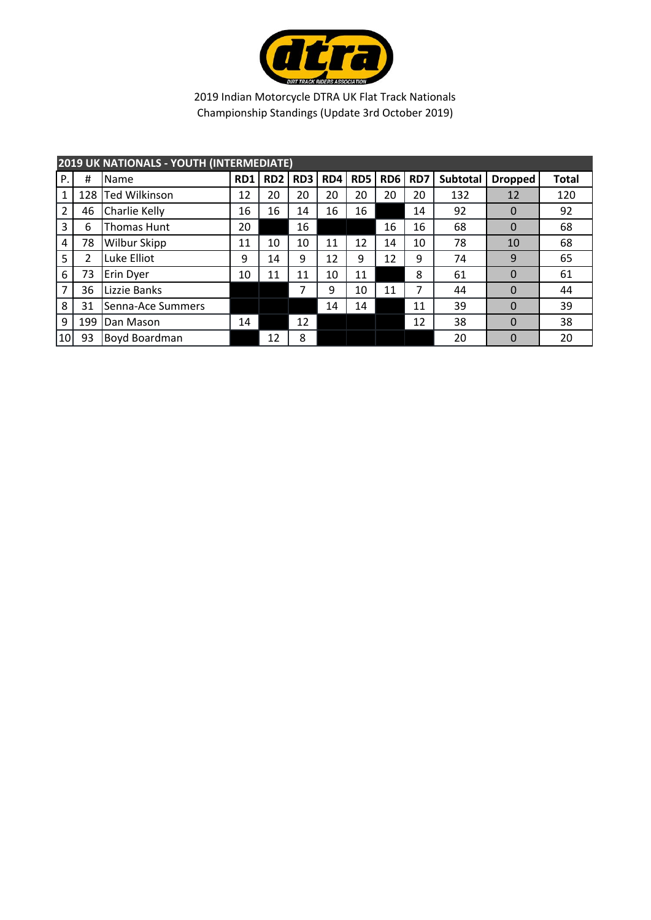

|                | <b>2019 UK NATIONALS - YOUTH (INTERMEDIATE)</b> |                      |     |                 |                 |     |                 |                 |     |          |                |              |  |  |  |
|----------------|-------------------------------------------------|----------------------|-----|-----------------|-----------------|-----|-----------------|-----------------|-----|----------|----------------|--------------|--|--|--|
| P.             | Ħ                                               | Name                 | RD1 | RD <sub>2</sub> | RD <sub>3</sub> | RD4 | RD <sub>5</sub> | RD <sub>6</sub> | RD7 | Subtotal | <b>Dropped</b> | <b>Total</b> |  |  |  |
| 1              | 128                                             | <b>Ted Wilkinson</b> | 12  | 20              | 20              | 20  | 20              | 20              | 20  | 132      | 12             | 120          |  |  |  |
| $\overline{2}$ | 46                                              | Charlie Kelly        | 16  | 16              | 14              | 16  | 16              |                 | 14  | 92       | $\Omega$       | 92           |  |  |  |
| 3              | 6                                               | <b>Thomas Hunt</b>   | 20  |                 | 16              |     |                 | 16              | 16  | 68       | $\Omega$       | 68           |  |  |  |
| 4              | 78                                              | <b>Wilbur Skipp</b>  | 11  | 10              | 10              | 11  | 12              | 14              | 10  | 78       | 10             | 68           |  |  |  |
| 5              | 2                                               | Luke Elliot          | 9   | 14              | 9               | 12  | 9               | 12              | 9   | 74       | 9              | 65           |  |  |  |
| 6              | 73                                              | Erin Dyer            | 10  | 11              | 11              | 10  | 11              |                 | 8   | 61       | $\Omega$       | 61           |  |  |  |
| 7              | 36                                              | Lizzie Banks         |     |                 | 7               | 9   | 10              | 11              | 7   | 44       | $\Omega$       | 44           |  |  |  |
| 8              | 31                                              | Senna-Ace Summers    |     |                 |                 | 14  | 14              |                 | 11  | 39       | $\Omega$       | 39           |  |  |  |
| 9              | 199                                             | Dan Mason            | 14  |                 | 12              |     |                 |                 | 12  | 38       | $\overline{0}$ | 38           |  |  |  |
| 10             | 93                                              | Boyd Boardman        |     | 12              | 8               |     |                 |                 |     | 20       | $\Omega$       | 20           |  |  |  |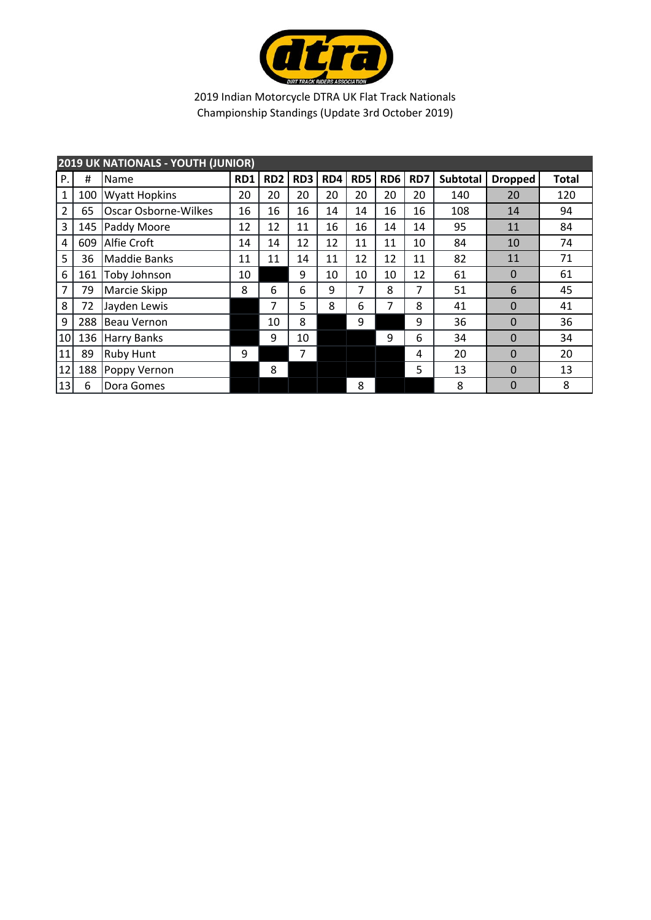

| <b>2019 UK NATIONALS - YOUTH (JUNIOR)</b> |     |                      |     |                 |     |     |     |                 |     |                 |                |              |
|-------------------------------------------|-----|----------------------|-----|-----------------|-----|-----|-----|-----------------|-----|-----------------|----------------|--------------|
| Ρ.                                        | #   | Name                 | RD1 | RD <sub>2</sub> | RD3 | RD4 | RD5 | RD <sub>6</sub> | RD7 | <b>Subtotal</b> | <b>Dropped</b> | <b>Total</b> |
| 1                                         | 100 | <b>Wyatt Hopkins</b> | 20  | 20              | 20  | 20  | 20  | 20              | 20  | 140             | 20             | 120          |
| 2                                         | 65  | Oscar Osborne-Wilkes | 16  | 16              | 16  | 14  | 14  | 16              | 16  | 108             | 14             | 94           |
| 3                                         | 145 | Paddy Moore          | 12  | 12              | 11  | 16  | 16  | 14              | 14  | 95              | 11             | 84           |
| 4                                         | 609 | <b>Alfie Croft</b>   | 14  | 14              | 12  | 12  | 11  | 11              | 10  | 84              | 10             | 74           |
| 5                                         | 36  | Maddie Banks         | 11  | 11              | 14  | 11  | 12  | 12              | 11  | 82              | 11             | 71           |
| 6                                         | 161 | Toby Johnson         | 10  |                 | 9   | 10  | 10  | 10              | 12  | 61              | $\mathbf 0$    | 61           |
| 7                                         | 79  | Marcie Skipp         | 8   | 6               | 6   | 9   | 7   | 8               | 7   | 51              | 6              | 45           |
| 8                                         | 72  | Jayden Lewis         |     | 7               | 5   | 8   | 6   | 7               | 8   | 41              | $\Omega$       | 41           |
| 9                                         | 288 | <b>Beau Vernon</b>   |     | 10              | 8   |     | 9   |                 | 9   | 36              | $\Omega$       | 36           |
| 10                                        | 136 | <b>Harry Banks</b>   |     | 9               | 10  |     |     | 9               | 6   | 34              | $\Omega$       | 34           |
| 11                                        | 89  | <b>Ruby Hunt</b>     | 9   |                 | 7   |     |     |                 | 4   | 20              | $\Omega$       | 20           |
| 12                                        | 188 | Poppy Vernon         |     | 8               |     |     |     |                 | 5   | 13              | $\Omega$       | 13           |
| 13                                        | 6   | Dora Gomes           |     |                 |     |     | 8   |                 |     | 8               | $\Omega$       | 8            |